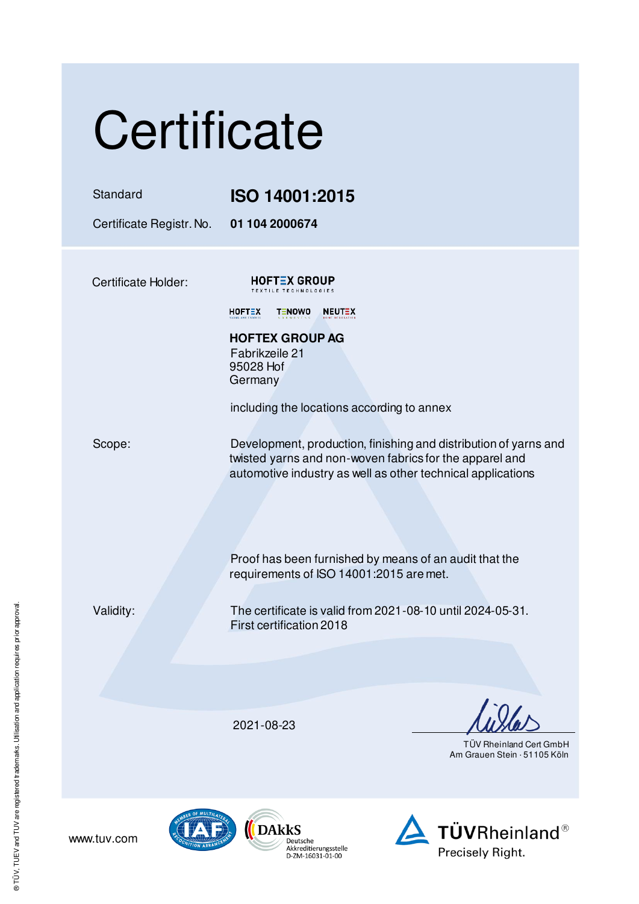| Certificate |  |  |
|-------------|--|--|
|             |  |  |

### Standard **ISO 14001:2015**

Certificate Registr. No. **01 104 2000674** 

Certificate Holder:

**HOFTEX GROUP** LLE TECHNOLO

 $HOFT<sub>2</sub>X$ TENOWO NEUTEX

**HOFTEX GROUP AG**  Fabrikzeile 21 95028 Hof **Germany** 

including the locations according to annex

Scope: Development, production, finishing and distribution of yarns and twisted yarns and non-woven fabrics for the apparel and automotive industry as well as other technical applications

> Proof has been furnished by means of an audit that the requirements of ISO 14001:2015 are met.

www.tuv.com

Validity: The certificate is valid from 2021-08-10 until 2024-05-31. First certification 2018

2021-08-23

 TÜV Rheinland Cert GmbH Am Grauen Stein · 51105 Köln





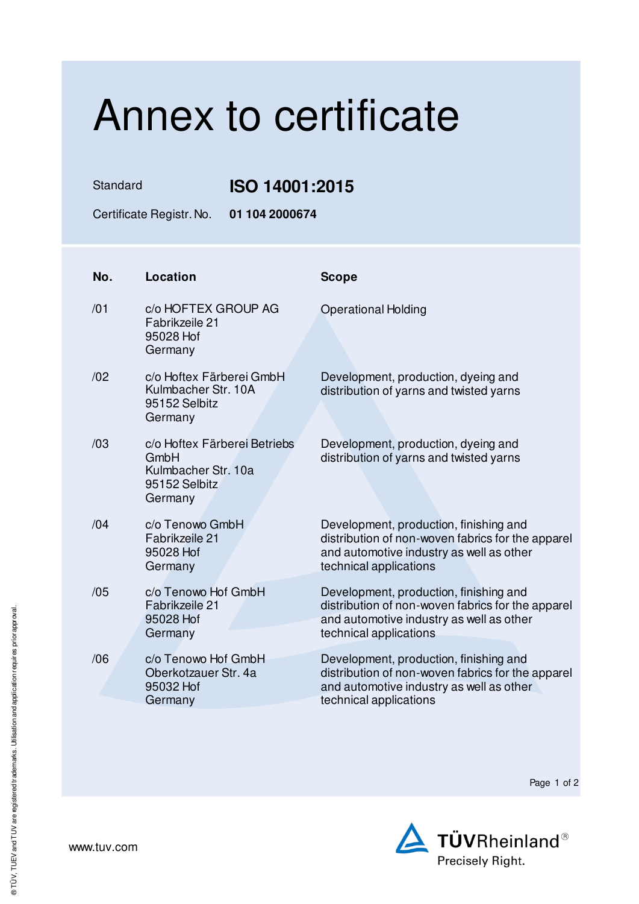# Annex to certificate

Standard **ISO 14001:2015** 

Certificate Registr. No. **01 104 2000674** 

| No. | Location                                                                                | <b>Scope</b>                                                                                                                                                      |
|-----|-----------------------------------------------------------------------------------------|-------------------------------------------------------------------------------------------------------------------------------------------------------------------|
| /01 | c/o HOFTEX GROUP AG<br>Fabrikzeile 21<br>95028 Hof<br>Germany                           | <b>Operational Holding</b>                                                                                                                                        |
| /02 | c/o Hoftex Färberei GmbH<br>Kulmbacher Str. 10A<br>95152 Selbitz<br>Germany             | Development, production, dyeing and<br>distribution of yarns and twisted yarns                                                                                    |
| /03 | c/o Hoftex Färberei Betriebs<br>GmbH<br>Kulmbacher Str. 10a<br>95152 Selbitz<br>Germany | Development, production, dyeing and<br>distribution of yarns and twisted yarns                                                                                    |
| /04 | c/o Tenowo GmbH<br>Fabrikzeile 21<br>95028 Hof<br>Germany                               | Development, production, finishing and<br>distribution of non-woven fabrics for the apparel<br>and automotive industry as well as other<br>technical applications |
| /05 | c/o Tenowo Hof GmbH<br>Fabrikzeile 21<br>95028 Hof<br>Germany                           | Development, production, finishing and<br>distribution of non-woven fabrics for the apparel<br>and automotive industry as well as other<br>technical applications |
| /06 | c/o Tenowo Hof GmbH<br>Oberkotzauer Str. 4a<br>95032 Hof<br>Germany                     | Development, production, finishing and<br>distribution of non-woven fabrics for the apparel<br>and automotive industry as well as other<br>technical applications |

Page 1 of 2



www.tuv.com